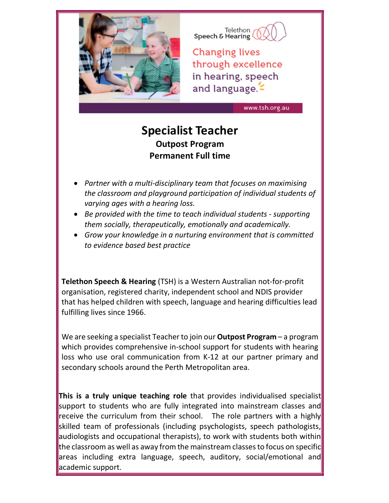

Telethon<br>Speech & Hearing

**Changing lives** through excellence in hearing, speech and language.

www.tsh.org.au

## Specialist Teacher Outpost Program Permanent Full time

- Partner with a multi-disciplinary team that focuses on maximising the classroom and playground participation of individual students of varying ages with a hearing loss.
- Be provided with the time to teach individual students supporting them socially, therapeutically, emotionally and academically.
- Grow your knowledge in a nurturing environment that is committed to evidence based best practice

Telethon Speech & Hearing (TSH) is a Western Australian not-for-profit organisation, registered charity, independent school and NDIS provider that has helped children with speech, language and hearing difficulties lead fulfilling lives since 1966.

We are seeking a specialist Teacher to join our **Outpost Program** – a program which provides comprehensive in-school support for students with hearing loss who use oral communication from K-12 at our partner primary and secondary schools around the Perth Metropolitan area.

This is a truly unique teaching role that provides individualised specialist support to students who are fully integrated into mainstream classes and receive the curriculum from their school. The role partners with a highly skilled team of professionals (including psychologists, speech pathologists, audiologists and occupational therapists), to work with students both within the classroom as well as away from the mainstream classes to focus on specific areas including extra language, speech, auditory, social/emotional and academic support.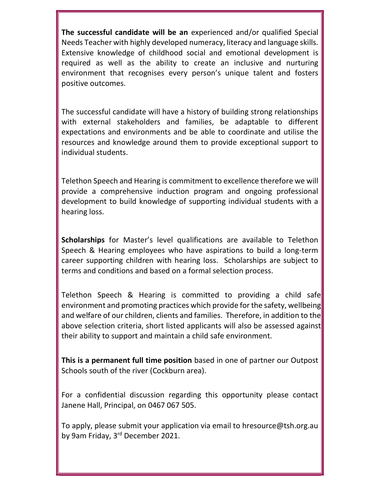The successful candidate will be an experienced and/or qualified Special Needs Teacher with highly developed numeracy, literacy and language skills. Extensive knowledge of childhood social and emotional development is required as well as the ability to create an inclusive and nurturing environment that recognises every person's unique talent and fosters positive outcomes.

The successful candidate will have a history of building strong relationships with external stakeholders and families, be adaptable to different expectations and environments and be able to coordinate and utilise the resources and knowledge around them to provide exceptional support to individual students.

Telethon Speech and Hearing is commitment to excellence therefore we will provide a comprehensive induction program and ongoing professional development to build knowledge of supporting individual students with a hearing loss.

Scholarships for Master's level qualifications are available to Telethon Speech & Hearing employees who have aspirations to build a long-term career supporting children with hearing loss. Scholarships are subject to terms and conditions and based on a formal selection process.

Telethon Speech & Hearing is committed to providing a child safe environment and promoting practices which provide for the safety, wellbeing and welfare of our children, clients and families. Therefore, in addition to the above selection criteria, short listed applicants will also be assessed against their ability to support and maintain a child safe environment.

This is a permanent full time position based in one of partner our Outpost Schools south of the river (Cockburn area).

For a confidential discussion regarding this opportunity please contact Janene Hall, Principal, on 0467 067 505.

To apply, please submit your application via email to hresource@tsh.org.au by 9am Friday, 3rd December 2021.